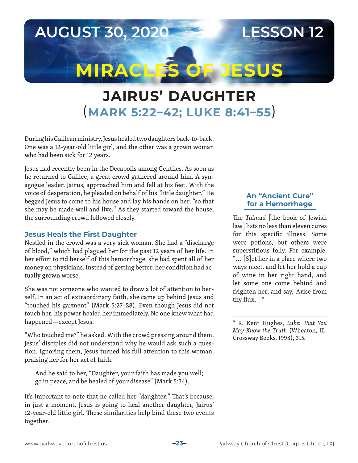## **AUGUST 30, 2020 LESSON 12**

# **MIRACLES OF JESUS**

# **JAIRUS' DAUGHTER** (**MARK 5:22–42; LUKE 8:41–55**)

During his Galilean ministry, Jesus healed two daughters back-to-back. One was a 12-year-old little girl, and the other was a grown woman who had been sick for 12 years.

Jesus had recently been in the Decapolis among Gentiles. As soon as he returned to Galilee, a great crowd gathered around him. A synagogue leader, Jairus, approached him and fell at his feet. With the voice of desperation, he pleaded on behalf of his "little daughter." He begged Jesus to come to his house and lay his hands on her, "so that she may be made well and live." As they started toward the house, the surrounding crowd followed closely.

#### **Jesus Heals the First Daughter**

Nestled in the crowd was a very sick woman. She had a "discharge of blood," which had plagued her for the past 12 years of her life. In her effort to rid herself of this hemorrhage, she had spent all of her money on physicians. Instead of getting better, her condition had actually grown worse.

She was not someone who wanted to draw a lot of attention to herself. In an act of extraordinary faith, she came up behind Jesus and "touched his garment" (Mark 5:27–28). Even though Jesus did not touch her, his power healed her immediately. No one knew what had happened—except Jesus.

"Who touched me?" he asked. With the crowd pressing around them, Jesus' disciples did not understand why he would ask such a question. Ignoring them, Jesus turned his full attention to this woman, praising her for her act of faith.

And he said to her, "Daughter, your faith has made you well; go in peace, and be healed of your disease" (Mark 5:34).

It's important to note that he called her "daughter." That's because, in just a moment, Jesus is going to heal another daughter, Jairus' 12-year-old little girl. These similarities help bind these two events together.

#### **An "Ancient Cure" for a Hemorrhage**

The *Talmud* [the book of Jewish law] lists no less than eleven cures for this specific illness. Some were potions, but others were superstitious folly. For example, ". . . [S]et her in a place where two ways meet, and let her hold a cup of wine in her right hand, and let some one come behind and frighten her, and say, 'Arise from thy flux.' "\*



<sup>\*</sup> R. Kent Hughes, *Luke: That You May Know the Truth* (Wheaton, IL: Crossway Books, 1998), 315.